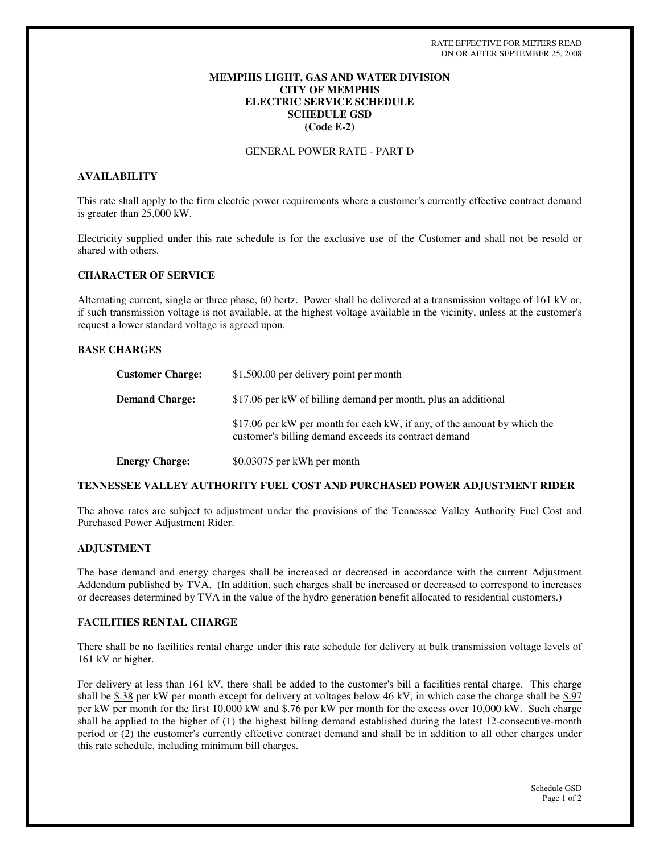# **MEMPHIS LIGHT, GAS AND WATER DIVISION CITY OF MEMPHIS ELECTRIC SERVICE SCHEDULE SCHEDULE GSD (Code E-2)**

# GENERAL POWER RATE - PART D

## **AVAILABILITY**

This rate shall apply to the firm electric power requirements where a customer's currently effective contract demand is greater than 25,000 kW.

Electricity supplied under this rate schedule is for the exclusive use of the Customer and shall not be resold or shared with others.

#### **CHARACTER OF SERVICE**

Alternating current, single or three phase, 60 hertz. Power shall be delivered at a transmission voltage of 161 kV or, if such transmission voltage is not available, at the highest voltage available in the vicinity, unless at the customer's request a lower standard voltage is agreed upon.

# **BASE CHARGES**

| <b>Customer Charge:</b> | \$1,500.00 per delivery point per month                                                                                           |
|-------------------------|-----------------------------------------------------------------------------------------------------------------------------------|
| <b>Demand Charge:</b>   | \$17.06 per kW of billing demand per month, plus an additional                                                                    |
|                         | \$17.06 per kW per month for each kW, if any, of the amount by which the<br>customer's billing demand exceeds its contract demand |
| <b>Energy Charge:</b>   | \$0.03075 per kWh per month                                                                                                       |

## **TENNESSEE VALLEY AUTHORITY FUEL COST AND PURCHASED POWER ADJUSTMENT RIDER**

The above rates are subject to adjustment under the provisions of the Tennessee Valley Authority Fuel Cost and Purchased Power Adjustment Rider.

#### **ADJUSTMENT**

The base demand and energy charges shall be increased or decreased in accordance with the current Adjustment Addendum published by TVA. (In addition, such charges shall be increased or decreased to correspond to increases or decreases determined by TVA in the value of the hydro generation benefit allocated to residential customers.)

# **FACILITIES RENTAL CHARGE**

There shall be no facilities rental charge under this rate schedule for delivery at bulk transmission voltage levels of 161 kV or higher.

For delivery at less than 161 kV, there shall be added to the customer's bill a facilities rental charge. This charge shall be \$.38 per kW per month except for delivery at voltages below 46 kV, in which case the charge shall be \$.97 per kW per month for the first 10,000 kW and \$.76 per kW per month for the excess over 10,000 kW. Such charge shall be applied to the higher of (1) the highest billing demand established during the latest 12-consecutive-month period or (2) the customer's currently effective contract demand and shall be in addition to all other charges under this rate schedule, including minimum bill charges.